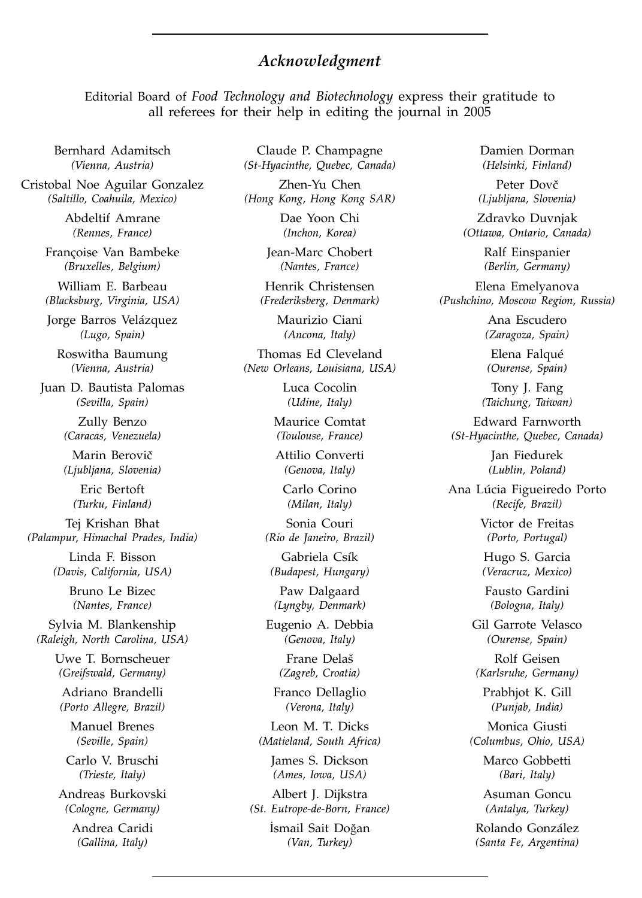## *Acknowledgment*

Editorial Board of *Food Technology and Biotechnology* express their gratitude to all referees for their help in editing the journal in 2005

Bernhard Adamitsch *(Vienna, Austria)*

Cristobal Noe Aguilar Gonzalez *(Saltillo, Coahuila, Mexico)*

> Abdeltif Amrane *(Rennes, France)*

Françoise Van Bambeke *(Bruxelles, Belgium)*

William E. Barbeau *(Blacksburg, Virginia, USA)*

Jorge Barros Velázquez *(Lugo, Spain)*

Roswitha Baumung *(Vienna, Austria)*

Juan D. Bautista Palomas *(Sevilla, Spain)*

> Zully Benzo *(Caracas, Venezuela)*

> Marin Berovič *(Ljubljana, Slovenia)*

Eric Bertoft *(Turku, Finland)*

Tej Krishan Bhat *(Palampur, Himachal Prades, India)*

> Linda F. Bisson *(Davis, California, USA)*

> > Bruno Le Bizec *(Nantes, France)*

Sylvia M. Blankenship *(Raleigh, North Carolina, USA)*

> Uwe T. Bornscheuer *(Greifswald, Germany)*

Adriano Brandelli *(Porto Allegre, Brazil)*

Manuel Brenes *(Seville, Spain)*

Carlo V. Bruschi *(Trieste, Italy)*

Andreas Burkovski *(Cologne, Germany)*

> Andrea Caridi *(Gallina, Italy)*

Claude P. Champagne *(St-Hyacinthe, Quebec, Canada)*

Zhen-Yu Chen *(Hong Kong, Hong Kong SAR)*

> Dae Yoon Chi *(Inchon, Korea)*

Jean-Marc Chobert *(Nantes, France)*

Henrik Christensen *(Frederiksberg, Denmark)*

Maurizio Ciani *(Ancona, Italy)*

Thomas Ed Cleveland *(New Orleans, Louisiana, USA)*

> Luca Cocolin *(Udine, Italy)*

Maurice Comtat *(Toulouse, France)*

Attilio Converti *(Genova, Italy)*

Carlo Corino *(Milan, Italy)*

Sonia Couri *(Rio de Janeiro, Brazil)*

Gabriela Csík *(Budapest, Hungary)*

Paw Dalgaard *(Lyngby, Denmark)*

Eugenio A. Debbia *(Genova, Italy)*

> Frane Delaš *(Zagreb, Croatia)*

Franco Dellaglio *(Verona, Italy)*

Leon M. T. Dicks *(Matieland, South Africa)*

James S. Dickson *(Ames, Iowa, USA)*

Albert J. Dijkstra *(St. Eutrope-de-Born, France)*

> İsmail Sait Doğan *(Van, Turkey)*

Damien Dorman *(Helsinki, Finland)*

Peter Dovč *(Ljubljana, Slovenia)*

Zdravko Duvnjak *(Ottawa, Ontario, Canada)*

> Ralf Einspanier *(Berlin, Germany)*

Elena Emelyanova *(Pushchino, Moscow Region, Russia)*

> Ana Escudero *(Zaragoza, Spain)*

Elena Falqué *(Ourense, Spain)*

Tony J. Fang *(Taichung, Taiwan)*

Edward Farnworth *(St-Hyacinthe, Quebec, Canada)*

> Jan Fiedurek *(Lublin, Poland)*

Ana Lúcia Figueiredo Porto *(Recife, Brazil)*

> Victor de Freitas *(Porto, Portugal)*

Hugo S. Garcia *(Veracruz, Mexico)*

Fausto Gardini *(Bologna, Italy)*

Gil Garrote Velasco *(Ourense, Spain)*

Rolf Geisen *(Karlsruhe, Germany)*

Prabhjot K. Gill *(Punjab, India)*

Monica Giusti *(Columbus, Ohio, USA)*

> Marco Gobbetti *(Bari, Italy)*

> Asuman Goncu *(Antalya, Turkey)*

Rolando González *(Santa Fe, Argentina)*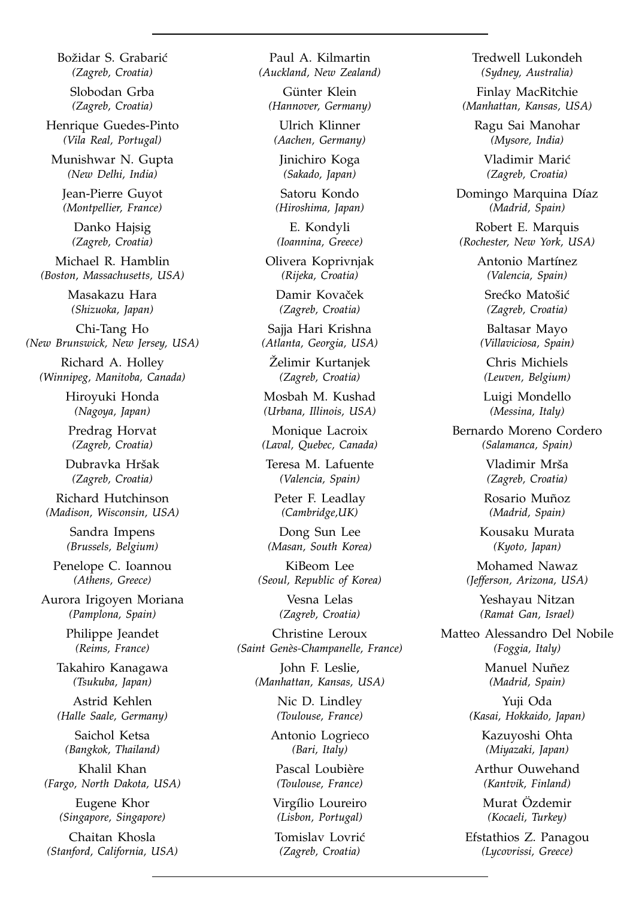Božidar S. Grabarić *(Zagreb, Croatia)* Slobodan Grba

*(Zagreb, Croatia)*

Henrique Guedes-Pinto *(Vila Real, Portugal)*

Munishwar N. Gupta *(New Delhi, India)*

Jean-Pierre Guyot *(Montpellier, France)*

> Danko Hajsig *(Zagreb, Croatia)*

Michael R. Hamblin *(Boston, Massachusetts, USA)*

> Masakazu Hara *(Shizuoka, Japan)*

Chi-Tang Ho *(New Brunswick, New Jersey, USA)*

Richard A. Holley *(Winnipeg, Manitoba, Canada)*

> Hiroyuki Honda *(Nagoya, Japan)*

Predrag Horvat *(Zagreb, Croatia)*

Dubravka Hršak *(Zagreb, Croatia)*

Richard Hutchinson *(Madison, Wisconsin, USA)*

> Sandra Impens *(Brussels, Belgium)*

Penelope C. Ioannou *(Athens, Greece)*

Aurora Irigoyen Moriana *(Pamplona, Spain)*

> Philippe Jeandet *(Reims, France)*

Takahiro Kanagawa *(Tsukuba, Japan)*

Astrid Kehlen *(Halle Saale, Germany)*

Saichol Ketsa *(Bangkok, Thailand)*

Khalil Khan *(Fargo, North Dakota, USA)*

Eugene Khor *(Singapore, Singapore)*

Chaitan Khosla *(Stanford, California, USA)*

Paul A. Kilmartin *(Auckland, New Zealand)*

Günter Klein *(Hannover, Germany)*

Ulrich Klinner *(Aachen, Germany)*

Jinichiro Koga *(Sakado, Japan)*

Satoru Kondo *(Hiroshima, Japan)*

E. Kondyli *(Ioannina, Greece)*

Olivera Koprivnjak *(Rijeka, Croatia)*

Damir Kovaček *(Zagreb, Croatia)*

Sajja Hari Krishna *(Atlanta, Georgia, USA)*

Żelimir Kurtanjek *(Zagreb, Croatia)*

Mosbah M. Kushad *(Urbana, Illinois, USA)*

Monique Lacroix *(Laval, Quebec, Canada)*

Teresa M. Lafuente *(Valencia, Spain)*

Peter F. Leadlay *(Cambridge,UK)*

Dong Sun Lee *(Masan, South Korea)*

KiBeom Lee *(Seoul, Republic of Korea)*

> Vesna Lelas *(Zagreb, Croatia)*

Christine Leroux *(Saint Genès-Champanelle, France)*

John F. Leslie, *(Manhattan, Kansas, USA)*

> Nic D. Lindley *(Toulouse, France)*

Antonio Logrieco *(Bari, Italy)*

Pascal Loubière *(Toulouse, France)*

Virgílio Loureiro *(Lisbon, Portugal)*

Tomislav Lovrić *(Zagreb, Croatia)*

Tredwell Lukondeh *(Sydney, Australia)*

Finlay MacRitchie *(Manhattan, Kansas, USA)*

> Ragu Sai Manohar *(Mysore, India)*

Vladimir Marić *(Zagreb, Croatia)*

Domingo Marquina Díaz *(Madrid, Spain)*

Robert E. Marquis *(Rochester, New York, USA)*

> Antonio Martínez *(Valencia, Spain)*

Srećko Matošić *(Zagreb, Croatia)*

Baltasar Mayo *(Villaviciosa, Spain)*

Chris Michiels *(Leuven, Belgium)*

Luigi Mondello *(Messina, Italy)*

Bernardo Moreno Cordero *(Salamanca, Spain)*

> Vladimir Mrša *(Zagreb, Croatia)*

Rosario Muñoz *(Madrid, Spain)*

Kousaku Murata *(Kyoto, Japan)*

Mohamed Nawaz *(Jefferson, Arizona, USA)*

> Yeshayau Nitzan *(Ramat Gan, Israel)*

Matteo Alessandro Del Nobile *(Foggia, Italy)*

> Manuel Nuñez *(Madrid, Spain)*

Yuji Oda *(Kasai, Hokkaido, Japan)*

> Kazuyoshi Ohta *(Miyazaki, Japan)*

Arthur Ouwehand *(Kantvik, Finland)*

Murat Özdemir *(Kocaeli, Turkey)*

Efstathios Z. Panagou *(Lycovrissi, Greece)*